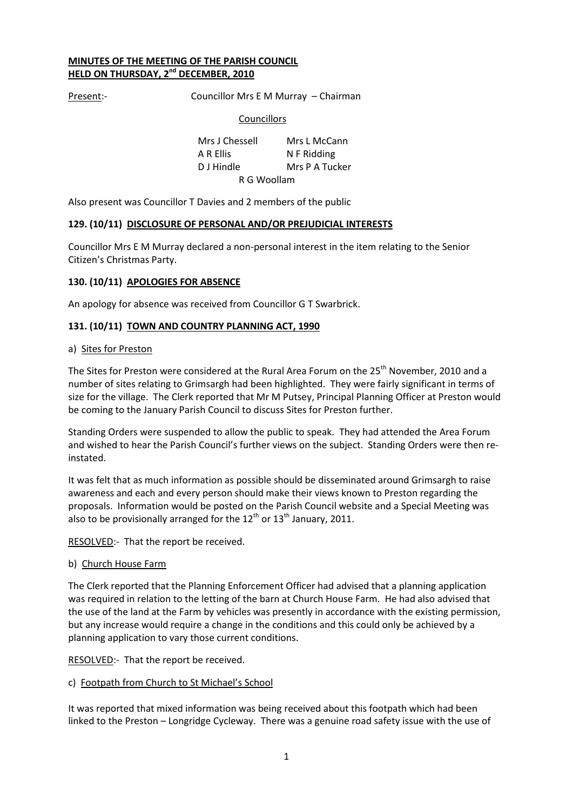## **MINUTES OF THE MEETING OF THE PARISH COUNCIL HELD ON THURSDAY, 2 nd DECEMBER, 2010**

Present:- Councillor Mrs E M Murray – Chairman

#### Councillors

Mrs J Chessell Mrs L McCann A R Ellis N F Ridding D J Hindle Mrs P A Tucker R G Woollam

Also present was Councillor T Davies and 2 members of the public

#### **129. (10/11) DISCLOSURE OF PERSONAL AND/OR PREJUDICIAL INTERESTS**

Councillor Mrs E M Murray declared a non-personal interest in the item relating to the Senior Citizen's Christmas Party.

#### **130. (10/11) APOLOGIES FOR ABSENCE**

An apology for absence was received from Councillor G T Swarbrick.

#### **131. (10/11) TOWN AND COUNTRY PLANNING ACT, 1990**

#### a) Sites for Preston

The Sites for Preston were considered at the Rural Area Forum on the 25<sup>th</sup> November, 2010 and a number of sites relating to Grimsargh had been highlighted. They were fairly significant in terms of size for the village. The Clerk reported that Mr M Putsey, Principal Planning Officer at Preston would be coming to the January Parish Council to discuss Sites for Preston further.

Standing Orders were suspended to allow the public to speak. They had attended the Area Forum and wished to hear the Parish Council's further views on the subject. Standing Orders were then reinstated.

It was felt that as much information as possible should be disseminated around Grimsargh to raise awareness and each and every person should make their views known to Preston regarding the proposals. Information would be posted on the Parish Council website and a Special Meeting was also to be provisionally arranged for the  $12<sup>th</sup>$  or  $13<sup>th</sup>$  January, 2011.

RESOLVED:- That the report be received.

#### b) Church House Farm

The Clerk reported that the Planning Enforcement Officer had advised that a planning application was required in relation to the letting of the barn at Church House Farm. He had also advised that the use of the land at the Farm by vehicles was presently in accordance with the existing permission, but any increase would require a change in the conditions and this could only be achieved by a planning application to vary those current conditions.

RESOLVED:- That the report be received.

#### c) Footpath from Church to St Michael's School

It was reported that mixed information was being received about this footpath which had been linked to the Preston – Longridge Cycleway. There was a genuine road safety issue with the use of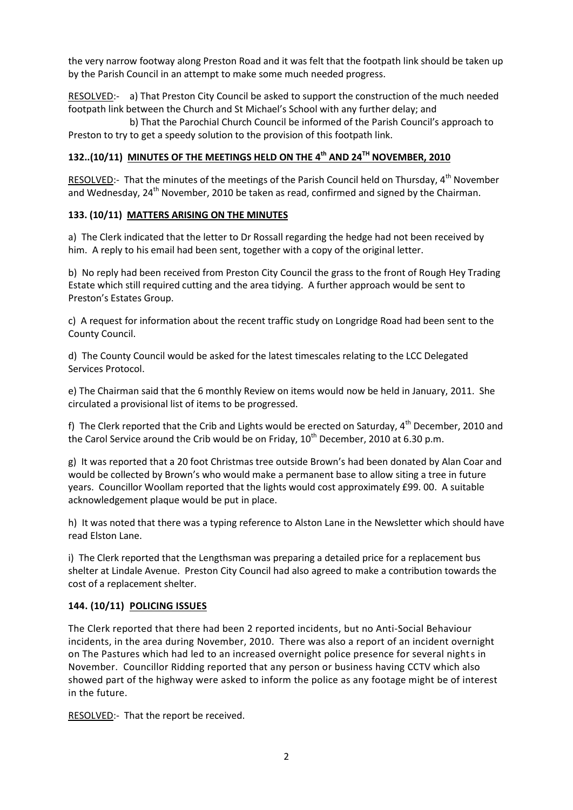the very narrow footway along Preston Road and it was felt that the footpath link should be taken up by the Parish Council in an attempt to make some much needed progress.

RESOLVED:- a) That Preston City Council be asked to support the construction of the much needed footpath link between the Church and St Michael's School with any further delay; and

b) That the Parochial Church Council be informed of the Parish Council's approach to Preston to try to get a speedy solution to the provision of this footpath link.

# **132..(10/11) MINUTES OF THE MEETINGS HELD ON THE 4 th AND 24TH NOVEMBER, 2010**

RESOLVED:- That the minutes of the meetings of the Parish Council held on Thursday, 4<sup>th</sup> November and Wednesday,  $24<sup>th</sup>$  November, 2010 be taken as read, confirmed and signed by the Chairman.

# **133. (10/11) MATTERS ARISING ON THE MINUTES**

a) The Clerk indicated that the letter to Dr Rossall regarding the hedge had not been received by him. A reply to his email had been sent, together with a copy of the original letter.

b) No reply had been received from Preston City Council the grass to the front of Rough Hey Trading Estate which still required cutting and the area tidying. A further approach would be sent to Preston's Estates Group.

c) A request for information about the recent traffic study on Longridge Road had been sent to the County Council.

d) The County Council would be asked for the latest timescales relating to the LCC Delegated Services Protocol.

e) The Chairman said that the 6 monthly Review on items would now be held in January, 2011. She circulated a provisional list of items to be progressed.

f) The Clerk reported that the Crib and Lights would be erected on Saturday, 4<sup>th</sup> December, 2010 and the Carol Service around the Crib would be on Friday,  $10^{th}$  December, 2010 at 6.30 p.m.

g) It was reported that a 20 foot Christmas tree outside Brown's had been donated by Alan Coar and would be collected by Brown's who would make a permanent base to allow siting a tree in future years. Councillor Woollam reported that the lights would cost approximately £99. 00. A suitable acknowledgement plaque would be put in place.

h) It was noted that there was a typing reference to Alston Lane in the Newsletter which should have read Elston Lane.

i) The Clerk reported that the Lengthsman was preparing a detailed price for a replacement bus shelter at Lindale Avenue. Preston City Council had also agreed to make a contribution towards the cost of a replacement shelter.

# **144. (10/11) POLICING ISSUES**

The Clerk reported that there had been 2 reported incidents, but no Anti-Social Behaviour incidents, in the area during November, 2010. There was also a report of an incident overnight on The Pastures which had led to an increased overnight police presence for several nights in November. Councillor Ridding reported that any person or business having CCTV which also showed part of the highway were asked to inform the police as any footage might be of interest in the future.

RESOLVED:- That the report be received.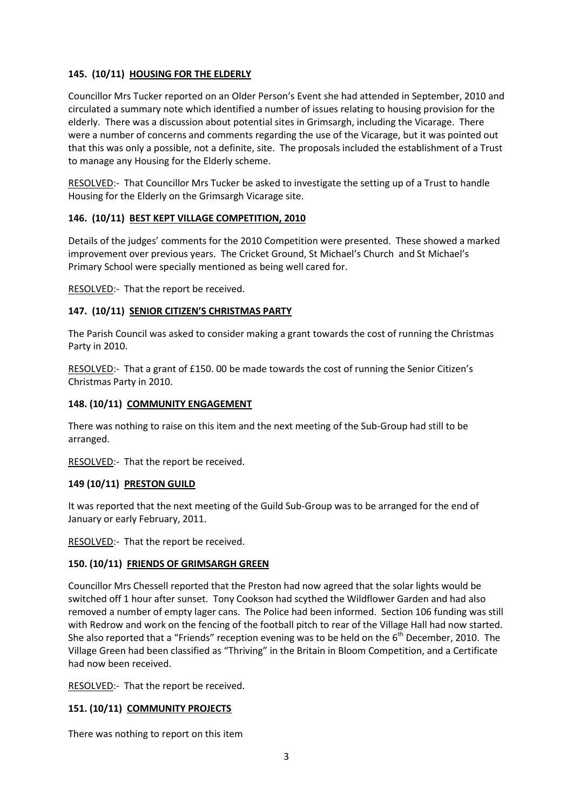## **145. (10/11) HOUSING FOR THE ELDERLY**

Councillor Mrs Tucker reported on an Older Person's Event she had attended in September, 2010 and circulated a summary note which identified a number of issues relating to housing provision for the elderly. There was a discussion about potential sites in Grimsargh, including the Vicarage. There were a number of concerns and comments regarding the use of the Vicarage, but it was pointed out that this was only a possible, not a definite, site. The proposals included the establishment of a Trust to manage any Housing for the Elderly scheme.

RESOLVED:- That Councillor Mrs Tucker be asked to investigate the setting up of a Trust to handle Housing for the Elderly on the Grimsargh Vicarage site.

## **146. (10/11) BEST KEPT VILLAGE COMPETITION, 2010**

Details of the judges' comments for the 2010 Competition were presented. These showed a marked improvement over previous years. The Cricket Ground, St Michael's Church and St Michael's Primary School were specially mentioned as being well cared for.

RESOLVED:- That the report be received.

## **147. (10/11) SENIOR CITIZEN'S CHRISTMAS PARTY**

The Parish Council was asked to consider making a grant towards the cost of running the Christmas Party in 2010.

RESOLVED:- That a grant of £150. 00 be made towards the cost of running the Senior Citizen's Christmas Party in 2010.

#### **148. (10/11) COMMUNITY ENGAGEMENT**

There was nothing to raise on this item and the next meeting of the Sub-Group had still to be arranged.

RESOLVED:- That the report be received.

#### **149 (10/11) PRESTON GUILD**

It was reported that the next meeting of the Guild Sub-Group was to be arranged for the end of January or early February, 2011.

RESOLVED:- That the report be received.

#### **150. (10/11) FRIENDS OF GRIMSARGH GREEN**

Councillor Mrs Chessell reported that the Preston had now agreed that the solar lights would be switched off 1 hour after sunset. Tony Cookson had scythed the Wildflower Garden and had also removed a number of empty lager cans. The Police had been informed. Section 106 funding was still with Redrow and work on the fencing of the football pitch to rear of the Village Hall had now started. She also reported that a "Friends" reception evening was to be held on the  $6<sup>th</sup>$  December, 2010. The Village Green had been classified as "Thriving" in the Britain in Bloom Competition, and a Certificate had now been received.

RESOLVED:- That the report be received.

#### **151. (10/11) COMMUNITY PROJECTS**

There was nothing to report on this item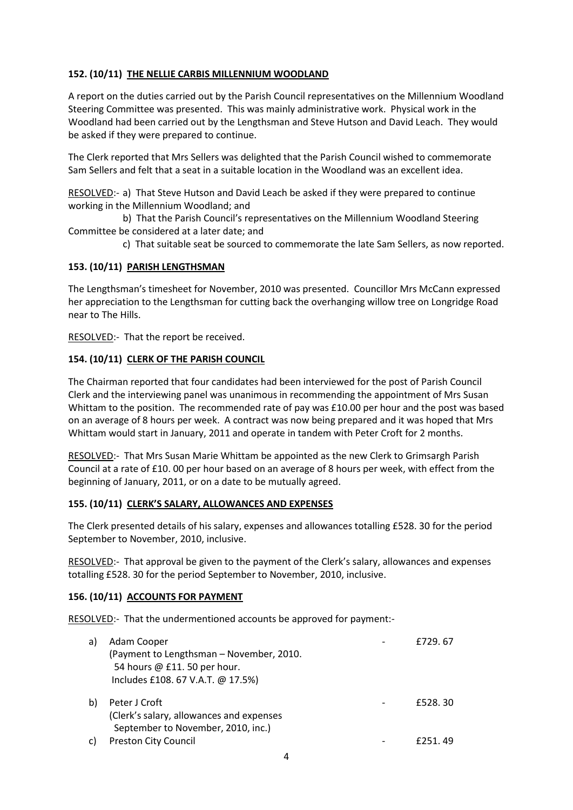# **152. (10/11) THE NELLIE CARBIS MILLENNIUM WOODLAND**

A report on the duties carried out by the Parish Council representatives on the Millennium Woodland Steering Committee was presented. This was mainly administrative work. Physical work in the Woodland had been carried out by the Lengthsman and Steve Hutson and David Leach. They would be asked if they were prepared to continue.

The Clerk reported that Mrs Sellers was delighted that the Parish Council wished to commemorate Sam Sellers and felt that a seat in a suitable location in the Woodland was an excellent idea.

RESOLVED:- a) That Steve Hutson and David Leach be asked if they were prepared to continue working in the Millennium Woodland; and

b) That the Parish Council's representatives on the Millennium Woodland Steering Committee be considered at a later date; and

c) That suitable seat be sourced to commemorate the late Sam Sellers, as now reported.

# **153. (10/11) PARISH LENGTHSMAN**

The Lengthsman's timesheet for November, 2010 was presented. Councillor Mrs McCann expressed her appreciation to the Lengthsman for cutting back the overhanging willow tree on Longridge Road near to The Hills.

RESOLVED:- That the report be received.

# **154. (10/11) CLERK OF THE PARISH COUNCIL**

The Chairman reported that four candidates had been interviewed for the post of Parish Council Clerk and the interviewing panel was unanimous in recommending the appointment of Mrs Susan Whittam to the position. The recommended rate of pay was £10.00 per hour and the post was based on an average of 8 hours per week. A contract was now being prepared and it was hoped that Mrs Whittam would start in January, 2011 and operate in tandem with Peter Croft for 2 months.

RESOLVED:- That Mrs Susan Marie Whittam be appointed as the new Clerk to Grimsargh Parish Council at a rate of £10. 00 per hour based on an average of 8 hours per week, with effect from the beginning of January, 2011, or on a date to be mutually agreed.

#### **155. (10/11) CLERK'S SALARY, ALLOWANCES AND EXPENSES**

The Clerk presented details of his salary, expenses and allowances totalling £528. 30 for the period September to November, 2010, inclusive.

RESOLVED:- That approval be given to the payment of the Clerk's salary, allowances and expenses totalling £528. 30 for the period September to November, 2010, inclusive.

# **156. (10/11) ACCOUNTS FOR PAYMENT**

RESOLVED:- That the undermentioned accounts be approved for payment:-

| a) | Adam Cooper                              | £729.67  |
|----|------------------------------------------|----------|
|    | (Payment to Lengthsman – November, 2010. |          |
|    | 54 hours @ £11. 50 per hour.             |          |
|    | Includes £108. 67 V.A.T. @ 17.5%)        |          |
| b) | Peter J Croft                            | £528, 30 |
|    | (Clerk's salary, allowances and expenses |          |
|    | September to November, 2010, inc.)       |          |
| C) | Preston City Council                     | £251.49  |